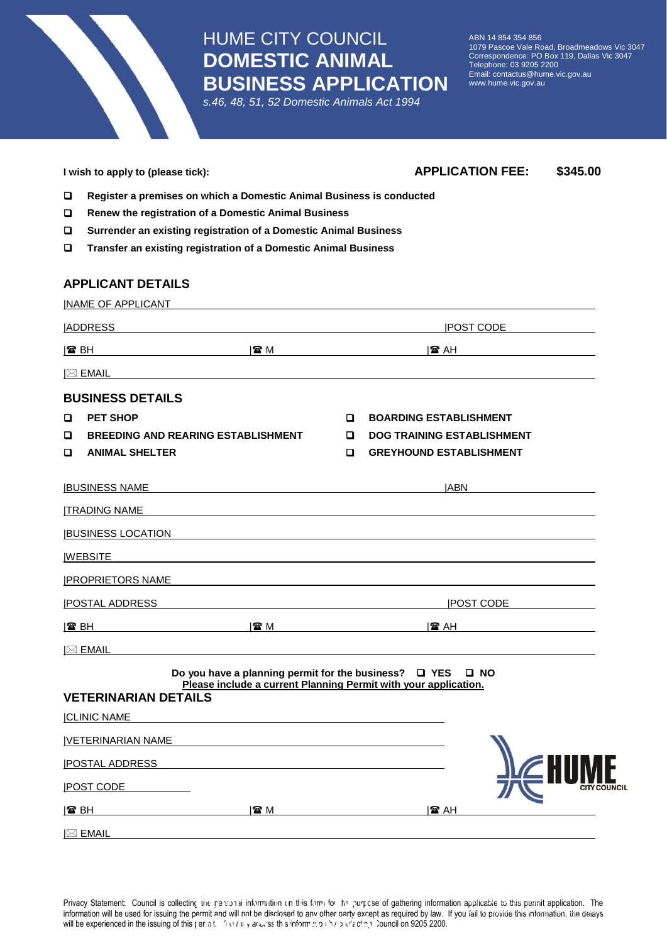HUME CITY COUNCIL **DOMESTIC ANIMAL BUSINESS APPLICATION**

*s.46, 48, 51, 52 Domestic Animals Act 1994*

ABN 14 854 354 856 1079 Pascoe Vale Road, Broadmeadows Vic 3047 Correspondence: PO Box 119, Dallas Vic 3047 Telephone: 03 9205 2200 Email: contactus@hume.vic.gov.au www.hume.vic.gov.au

| $\Box$<br>Register a premises on which a Domestic Animal Business is conducted<br>$\Box$<br>Renew the registration of a Domestic Animal Business<br>$\Box$<br>Surrender an existing registration of a Domestic Animal Business<br>Transfer an existing registration of a Domestic Animal Business<br>$\Box$<br><b>APPLICANT DETAILS</b><br><b>INAME OF APPLICANT</b><br><b>ADDRESS</b><br><b>POST CODE</b><br>$\mathbb{Z}$ M<br>I☎ BH<br>I2 AH<br><u>and the company of the company of the company of the company of the company of the company of the company of the company of the company of the company of the company of the company of the company of the company of the com</u><br>$\boxtimes$ EMAIL<br>and the control of the control of the control of the control of the control of the control of the control of the<br><b>BUSINESS DETAILS</b><br><b>PET SHOP</b><br><b>BOARDING ESTABLISHMENT</b><br>□<br>o<br>□<br><b>BREEDING AND REARING ESTABLISHMENT</b><br><b>DOG TRAINING ESTABLISHMENT</b><br>o<br>$\Box$<br><b>ANIMAL SHELTER</b><br>$\Box$<br><b>GREYHOUND ESTABLISHMENT</b><br><b>JABN</b><br><b>BUSINESS NAME</b><br><b>ITRADING NAME</b><br><b>BUSINESS LOCATION</b><br><u> 1989 - Johann Stoff, deutscher Stoffen und der Stoffen und der Stoffen und der Stoffen und der Stoffen und der</u><br><b>IWEBSITE</b><br><u>IPROPRIETORS NAME</u><br><b>IPOSTAL ADDRESS</b><br><b>IPOST CODE</b><br>$\Box$ and $\Box$ and $\Box$ and $\Box$ and $\Box$ and $\Box$ and $\Box$ and $\Box$ and $\Box$ and $\Box$<br>I☎ BH<br>I☎ AH<br>$ \boxtimes$ EMAIL<br>Do you have a planning permit for the business? $\Box$ YES<br>$\square$ NO<br>Please include a current Planning Permit with your application.<br><b>VETERINARIAN DETAILS</b><br><b>CLINIC NAME</b><br> VETERINARIAN NAME<br><b>POSTAL ADDRESS</b><br><b>POST CODE</b> | I wish to apply to (please tick): | <b>APPLICATION FEE:</b><br>\$345.00 |  |  |  |  |  |  |  |
|------------------------------------------------------------------------------------------------------------------------------------------------------------------------------------------------------------------------------------------------------------------------------------------------------------------------------------------------------------------------------------------------------------------------------------------------------------------------------------------------------------------------------------------------------------------------------------------------------------------------------------------------------------------------------------------------------------------------------------------------------------------------------------------------------------------------------------------------------------------------------------------------------------------------------------------------------------------------------------------------------------------------------------------------------------------------------------------------------------------------------------------------------------------------------------------------------------------------------------------------------------------------------------------------------------------------------------------------------------------------------------------------------------------------------------------------------------------------------------------------------------------------------------------------------------------------------------------------------------------------------------------------------------------------------------------------------------------------------------------------------------------------------------------------------------------------------------------------------|-----------------------------------|-------------------------------------|--|--|--|--|--|--|--|
|                                                                                                                                                                                                                                                                                                                                                                                                                                                                                                                                                                                                                                                                                                                                                                                                                                                                                                                                                                                                                                                                                                                                                                                                                                                                                                                                                                                                                                                                                                                                                                                                                                                                                                                                                                                                                                                      |                                   |                                     |  |  |  |  |  |  |  |
|                                                                                                                                                                                                                                                                                                                                                                                                                                                                                                                                                                                                                                                                                                                                                                                                                                                                                                                                                                                                                                                                                                                                                                                                                                                                                                                                                                                                                                                                                                                                                                                                                                                                                                                                                                                                                                                      |                                   |                                     |  |  |  |  |  |  |  |
|                                                                                                                                                                                                                                                                                                                                                                                                                                                                                                                                                                                                                                                                                                                                                                                                                                                                                                                                                                                                                                                                                                                                                                                                                                                                                                                                                                                                                                                                                                                                                                                                                                                                                                                                                                                                                                                      |                                   |                                     |  |  |  |  |  |  |  |
|                                                                                                                                                                                                                                                                                                                                                                                                                                                                                                                                                                                                                                                                                                                                                                                                                                                                                                                                                                                                                                                                                                                                                                                                                                                                                                                                                                                                                                                                                                                                                                                                                                                                                                                                                                                                                                                      |                                   |                                     |  |  |  |  |  |  |  |
|                                                                                                                                                                                                                                                                                                                                                                                                                                                                                                                                                                                                                                                                                                                                                                                                                                                                                                                                                                                                                                                                                                                                                                                                                                                                                                                                                                                                                                                                                                                                                                                                                                                                                                                                                                                                                                                      |                                   |                                     |  |  |  |  |  |  |  |
|                                                                                                                                                                                                                                                                                                                                                                                                                                                                                                                                                                                                                                                                                                                                                                                                                                                                                                                                                                                                                                                                                                                                                                                                                                                                                                                                                                                                                                                                                                                                                                                                                                                                                                                                                                                                                                                      |                                   |                                     |  |  |  |  |  |  |  |
|                                                                                                                                                                                                                                                                                                                                                                                                                                                                                                                                                                                                                                                                                                                                                                                                                                                                                                                                                                                                                                                                                                                                                                                                                                                                                                                                                                                                                                                                                                                                                                                                                                                                                                                                                                                                                                                      |                                   |                                     |  |  |  |  |  |  |  |
|                                                                                                                                                                                                                                                                                                                                                                                                                                                                                                                                                                                                                                                                                                                                                                                                                                                                                                                                                                                                                                                                                                                                                                                                                                                                                                                                                                                                                                                                                                                                                                                                                                                                                                                                                                                                                                                      |                                   |                                     |  |  |  |  |  |  |  |
|                                                                                                                                                                                                                                                                                                                                                                                                                                                                                                                                                                                                                                                                                                                                                                                                                                                                                                                                                                                                                                                                                                                                                                                                                                                                                                                                                                                                                                                                                                                                                                                                                                                                                                                                                                                                                                                      |                                   |                                     |  |  |  |  |  |  |  |
|                                                                                                                                                                                                                                                                                                                                                                                                                                                                                                                                                                                                                                                                                                                                                                                                                                                                                                                                                                                                                                                                                                                                                                                                                                                                                                                                                                                                                                                                                                                                                                                                                                                                                                                                                                                                                                                      |                                   |                                     |  |  |  |  |  |  |  |
|                                                                                                                                                                                                                                                                                                                                                                                                                                                                                                                                                                                                                                                                                                                                                                                                                                                                                                                                                                                                                                                                                                                                                                                                                                                                                                                                                                                                                                                                                                                                                                                                                                                                                                                                                                                                                                                      |                                   |                                     |  |  |  |  |  |  |  |
|                                                                                                                                                                                                                                                                                                                                                                                                                                                                                                                                                                                                                                                                                                                                                                                                                                                                                                                                                                                                                                                                                                                                                                                                                                                                                                                                                                                                                                                                                                                                                                                                                                                                                                                                                                                                                                                      |                                   |                                     |  |  |  |  |  |  |  |
|                                                                                                                                                                                                                                                                                                                                                                                                                                                                                                                                                                                                                                                                                                                                                                                                                                                                                                                                                                                                                                                                                                                                                                                                                                                                                                                                                                                                                                                                                                                                                                                                                                                                                                                                                                                                                                                      |                                   |                                     |  |  |  |  |  |  |  |
|                                                                                                                                                                                                                                                                                                                                                                                                                                                                                                                                                                                                                                                                                                                                                                                                                                                                                                                                                                                                                                                                                                                                                                                                                                                                                                                                                                                                                                                                                                                                                                                                                                                                                                                                                                                                                                                      |                                   |                                     |  |  |  |  |  |  |  |
|                                                                                                                                                                                                                                                                                                                                                                                                                                                                                                                                                                                                                                                                                                                                                                                                                                                                                                                                                                                                                                                                                                                                                                                                                                                                                                                                                                                                                                                                                                                                                                                                                                                                                                                                                                                                                                                      |                                   |                                     |  |  |  |  |  |  |  |
|                                                                                                                                                                                                                                                                                                                                                                                                                                                                                                                                                                                                                                                                                                                                                                                                                                                                                                                                                                                                                                                                                                                                                                                                                                                                                                                                                                                                                                                                                                                                                                                                                                                                                                                                                                                                                                                      |                                   |                                     |  |  |  |  |  |  |  |
|                                                                                                                                                                                                                                                                                                                                                                                                                                                                                                                                                                                                                                                                                                                                                                                                                                                                                                                                                                                                                                                                                                                                                                                                                                                                                                                                                                                                                                                                                                                                                                                                                                                                                                                                                                                                                                                      |                                   |                                     |  |  |  |  |  |  |  |
|                                                                                                                                                                                                                                                                                                                                                                                                                                                                                                                                                                                                                                                                                                                                                                                                                                                                                                                                                                                                                                                                                                                                                                                                                                                                                                                                                                                                                                                                                                                                                                                                                                                                                                                                                                                                                                                      |                                   |                                     |  |  |  |  |  |  |  |
|                                                                                                                                                                                                                                                                                                                                                                                                                                                                                                                                                                                                                                                                                                                                                                                                                                                                                                                                                                                                                                                                                                                                                                                                                                                                                                                                                                                                                                                                                                                                                                                                                                                                                                                                                                                                                                                      |                                   |                                     |  |  |  |  |  |  |  |
|                                                                                                                                                                                                                                                                                                                                                                                                                                                                                                                                                                                                                                                                                                                                                                                                                                                                                                                                                                                                                                                                                                                                                                                                                                                                                                                                                                                                                                                                                                                                                                                                                                                                                                                                                                                                                                                      |                                   |                                     |  |  |  |  |  |  |  |
|                                                                                                                                                                                                                                                                                                                                                                                                                                                                                                                                                                                                                                                                                                                                                                                                                                                                                                                                                                                                                                                                                                                                                                                                                                                                                                                                                                                                                                                                                                                                                                                                                                                                                                                                                                                                                                                      |                                   |                                     |  |  |  |  |  |  |  |
|                                                                                                                                                                                                                                                                                                                                                                                                                                                                                                                                                                                                                                                                                                                                                                                                                                                                                                                                                                                                                                                                                                                                                                                                                                                                                                                                                                                                                                                                                                                                                                                                                                                                                                                                                                                                                                                      |                                   |                                     |  |  |  |  |  |  |  |
|                                                                                                                                                                                                                                                                                                                                                                                                                                                                                                                                                                                                                                                                                                                                                                                                                                                                                                                                                                                                                                                                                                                                                                                                                                                                                                                                                                                                                                                                                                                                                                                                                                                                                                                                                                                                                                                      |                                   |                                     |  |  |  |  |  |  |  |
|                                                                                                                                                                                                                                                                                                                                                                                                                                                                                                                                                                                                                                                                                                                                                                                                                                                                                                                                                                                                                                                                                                                                                                                                                                                                                                                                                                                                                                                                                                                                                                                                                                                                                                                                                                                                                                                      |                                   |                                     |  |  |  |  |  |  |  |
|                                                                                                                                                                                                                                                                                                                                                                                                                                                                                                                                                                                                                                                                                                                                                                                                                                                                                                                                                                                                                                                                                                                                                                                                                                                                                                                                                                                                                                                                                                                                                                                                                                                                                                                                                                                                                                                      |                                   |                                     |  |  |  |  |  |  |  |
|                                                                                                                                                                                                                                                                                                                                                                                                                                                                                                                                                                                                                                                                                                                                                                                                                                                                                                                                                                                                                                                                                                                                                                                                                                                                                                                                                                                                                                                                                                                                                                                                                                                                                                                                                                                                                                                      |                                   |                                     |  |  |  |  |  |  |  |
|                                                                                                                                                                                                                                                                                                                                                                                                                                                                                                                                                                                                                                                                                                                                                                                                                                                                                                                                                                                                                                                                                                                                                                                                                                                                                                                                                                                                                                                                                                                                                                                                                                                                                                                                                                                                                                                      |                                   |                                     |  |  |  |  |  |  |  |
|                                                                                                                                                                                                                                                                                                                                                                                                                                                                                                                                                                                                                                                                                                                                                                                                                                                                                                                                                                                                                                                                                                                                                                                                                                                                                                                                                                                                                                                                                                                                                                                                                                                                                                                                                                                                                                                      |                                   |                                     |  |  |  |  |  |  |  |
| 雷 M<br> 雷 AH<br>I☎ BH<br><u> 1989 - Johann Barbara, martin a</u><br>$\boxtimes$ Email                                                                                                                                                                                                                                                                                                                                                                                                                                                                                                                                                                                                                                                                                                                                                                                                                                                                                                                                                                                                                                                                                                                                                                                                                                                                                                                                                                                                                                                                                                                                                                                                                                                                                                                                                                |                                   |                                     |  |  |  |  |  |  |  |

Privacy Statement: Council is collecting the personal information on this form for the purpose of gathering information applicable to this permit application. The information will be used for issuing the permit and will not be disclosed to any other party except as required by law. If you fail to provide this information, the delays **Will be experienced in the issuing of this permit and will not be disclosed to any onlet barry except as required by law.**<br>Will be experienced in the issuing of this permit. Multimate and we say to any onlet barry except Con to provide the midimidiary the delays